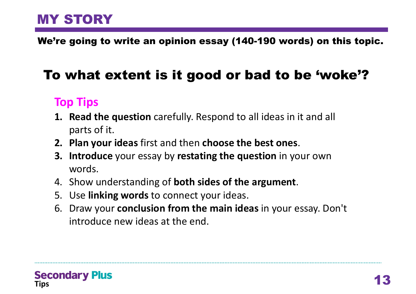We're going to write an opinion essay (140-190 words) on this topic.

# To what extent is it good or bad to be 'woke'?

## **Top Tips**

- **1. Read the question** carefully. Respond to all ideas in it and all parts of it.
- **2. Plan your ideas** first and then **choose the best ones**.
- **3. Introduce** your essay by **restating the question** in your own words.
- 4. Show understanding of **both sides of the argument**.
- 5. Use **linking words** to connect your ideas.
- 6. Draw your **conclusion from the main ideas** in your essay. Don't introduce new ideas at the end.